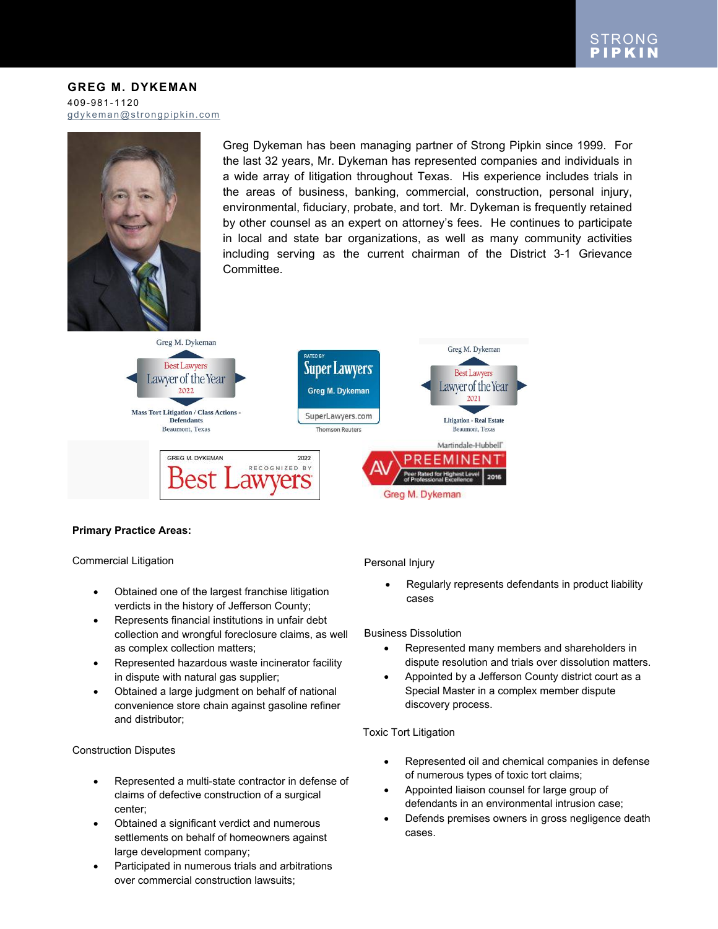#### **GREG M. DYKEMAN** 409-981-1120 [gdykeman@strongpipkin.com](mailto:gdykeman@strongpipkin.com)



Greg Dykeman has been managing partner of Strong Pipkin since 1999. For the last 32 years, Mr. Dykeman has represented companies and individuals in a wide array of litigation throughout Texas. His experience includes trials in the areas of business, banking, commercial, construction, personal injury, environmental, fiduciary, probate, and tort. Mr. Dykeman is frequently retained by other counsel as an expert on attorney's fees. He continues to participate in local and state bar organizations, as well as many community activities including serving as the current chairman of the District 3-1 Grievance Committee.



## **Primary Practice Areas:**

Commercial Litigation

- Obtained one of the largest franchise litigation verdicts in the history of Jefferson County;
- Represents financial institutions in unfair debt collection and wrongful foreclosure claims, as well as complex collection matters;
- Represented hazardous waste incinerator facility in dispute with natural gas supplier;
- Obtained a large judgment on behalf of national convenience store chain against gasoline refiner and distributor;

## Construction Disputes

- Represented a multi-state contractor in defense of claims of defective construction of a surgical center;
- Obtained a significant verdict and numerous settlements on behalf of homeowners against large development company;
- Participated in numerous trials and arbitrations over commercial construction lawsuits;

Personal Injury

 Regularly represents defendants in product liability cases

Business Dissolution

- Represented many members and shareholders in dispute resolution and trials over dissolution matters.
- Appointed by a Jefferson County district court as a Special Master in a complex member dispute discovery process.

## Toxic Tort Litigation

- Represented oil and chemical companies in defense of numerous types of toxic tort claims;
- Appointed liaison counsel for large group of defendants in an environmental intrusion case;
- Defends premises owners in gross negligence death cases.